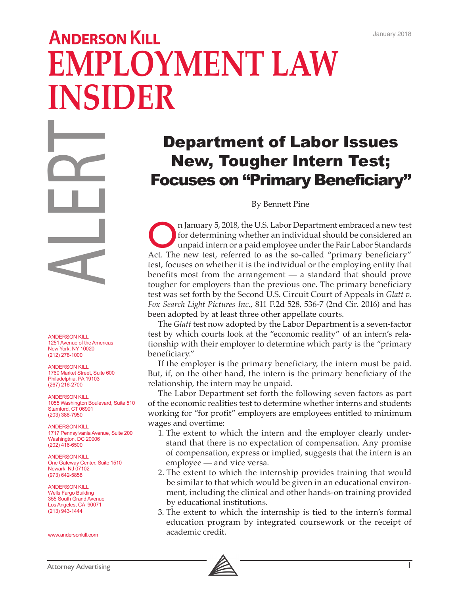## **ANDERSON KILL EMPLOYMENT LAW INSIDER**

ANDERSON KILL<br>
1251 Avenue of the America<br>
1251 Avenue of the America<br>
New York, NY 10020<br>
ANDERSON KILL<br>
1760 Market Street, Suite 6(<br>
2(212) 276-1000<br>
ANDERSON KILL<br>
1055 Washington Boulevarc<br>
Stamford, CT 06901<br>
2(03) 3

ANDERSON KILL 1251 Avenue of the Americas New York, NY 10020 (212) 278-1000

ANDERSON KILL 1760 Market Street, Suite 600 Philadelphia, PA 19103 (267) 216-2700

ANDERSON KILL 1055 Washington Boulevard, Suite 510 Stamford, CT 06901 (203) 388-7950

ANDERSON KILL 1717 Pennsylvania Avenue, Suite 200 Washington, DC 20006 (202) 416-6500

ANDERSON KILL One Gateway Center, Suite 1510 Newark, NJ 07102 (973) 642-5858

ANDERSON KILL Wells Fargo Building 355 South Grand Avenue Los Angeles, CA 90071 (213) 943-1444

www.andersonkill.com

## Department of Labor Issues New, Tougher Intern Test; Focuses on "Primary Beneficiary"

By Bennett Pine

In January 5, 2018, the U.S. Labor Department embraced a new test<br>
for determining whether an individual should be considered an<br>
unpaid intern or a paid employee under the Fair Labor Standards<br>
Act. The new test, referred for determining whether an individual should be considered an Act. The new test, referred to as the so-called "primary beneficiary" test, focuses on whether it is the individual or the employing entity that benefits most from the arrangement — a standard that should prove tougher for employers than the previous one. The primary beneficiary test was set forth by the Second U.S. Circuit Court of Appeals in *Glatt v. Fox Search Light Pictures Inc.*, 811 F.2d 528, 536-7 (2nd Cir. 2016) and has been adopted by at least three other appellate courts.

The *Glatt* test now adopted by the Labor Department is a seven-factor test by which courts look at the "economic reality" of an intern's relationship with their employer to determine which party is the "primary beneficiary."

If the employer is the primary beneficiary, the intern must be paid. But, if, on the other hand, the intern is the primary beneficiary of the relationship, the intern may be unpaid.

The Labor Department set forth the following seven factors as part of the economic realities test to determine whether interns and students working for "for profit" employers are employees entitled to minimum wages and overtime:

- 1. The extent to which the intern and the employer clearly understand that there is no expectation of compensation. Any promise of compensation, express or implied, suggests that the intern is an employee — and vice versa.
- 2. The extent to which the internship provides training that would be similar to that which would be given in an educational environment, including the clinical and other hands-on training provided by educational institutions.
- 3. The extent to which the internship is tied to the intern's formal education program by integrated coursework or the receipt of academic credit.